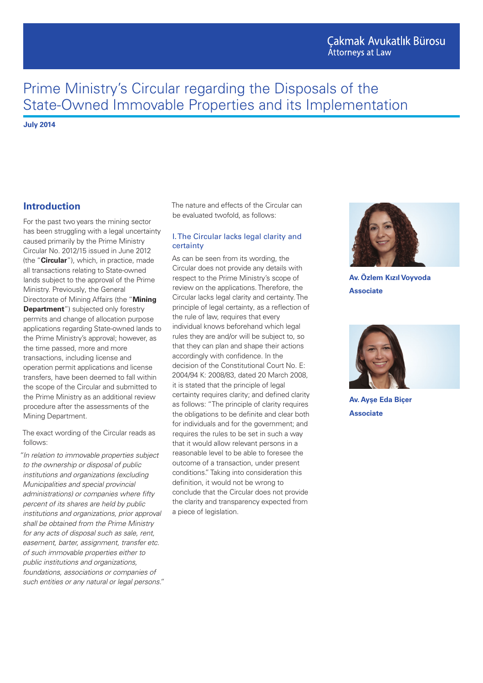# Cakmak Avukatlık Bürosu **Attorneys at Law**

# Prime Ministry's Circular regarding the Disposals of the State-Owned Immovable Properties and its Implementation

**July 2014**

## **Introduction**

For the past two years the mining sector has been struggling with a legal uncertainty caused primarily by the Prime Ministry Circular No. 2012/15 issued in June 2012 (the "**Circular**"), which, in practice, made all transactions relating to State-owned lands subject to the approval of the Prime Ministry. Previously, the General Directorate of Mining Affairs (the "**Mining Department**") subjected only forestry permits and change of allocation purpose applications regarding State-owned lands to the Prime Ministry's approval; however, as the time passed, more and more transactions, including license and operation permit applications and license transfers, have been deemed to fall within the scope of the Circular and submitted to the Prime Ministry as an additional review procedure after the assessments of the Mining Department.

The exact wording of the Circular reads as follows:

*"In relation to immovable properties subject to the ownership or disposal of public institutions and organizations (excluding Municipalities and special provincial administrations) or companies where fifty percent of its shares are held by public institutions and organizations, prior approval shall be obtained from the Prime Ministry for any acts of disposal such as sale, rent, easement, barter, assignment, transfer etc. of such immovable properties either to public institutions and organizations, foundations, associations or companies of such entities or any natural or legal persons."* The nature and effects of the Circular can be evaluated twofold, as follows:

#### I. The Circular lacks legal clarity and certainty

As can be seen from its wording, the Circular does not provide any details with respect to the Prime Ministry's scope of review on the applications. Therefore, the Circular lacks legal clarity and certainty. The principle of legal certainty, as a reflection of the rule of law, requires that every individual knows beforehand which legal rules they are and/or will be subject to, so that they can plan and shape their actions accordingly with confidence. In the decision of the Constitutional Court No. E: 2004/94 K: 2008/83, dated 20 March 2008, it is stated that the principle of legal certainty requires clarity; and defined clarity as follows: "The principle of clarity requires the obligations to be definite and clear both for individuals and for the government; and requires the rules to be set in such a way that it would allow relevant persons in a reasonable level to be able to foresee the outcome of a transaction, under present conditions." Taking into consideration this definition, it would not be wrong to conclude that the Circular does not provide the clarity and transparency expected from a piece of legislation.



**Av. Özlem Kızıl Voyvoda Associate**



**Av. Ayşe Eda Biçer Associate**